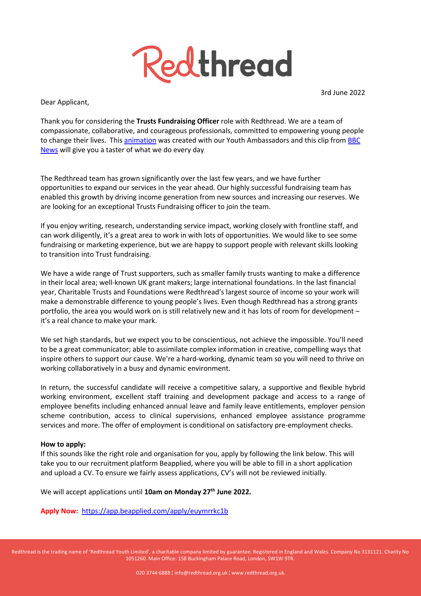

3rd June 2022

Dear Applicant,

Thank you for considering the **Trusts Fundraising Officer** role with Redthread. We are a team of compassionate, collaborative, and courageous professionals, committed to empowering young people to change their lives. This animation was created with our Youth Ambassadors and this clip from BBC News will give you a taster of what we do every day

The Redthread team has grown significantly over the last few years, and we have further opportunities to expand our services in the year ahead. Our highly successful fundraising team has enabled this growth by driving income generation from new sources and increasing our reserves. We are looking for an exceptional Trusts Fundraising officer to join the team.

If you enjoy writing, research, understanding service impact, working closely with frontline staff, and can work diligently, it's a great area to work in with lots of opportunities. We would like to see some fundraising or marketing experience, but we are happy to support people with relevant skills looking to transition into Trust fundraising.

We have a wide range of Trust supporters, such as smaller family trusts wanting to make a difference in their local area; well-known UK grant makers; large international foundations. In the last financial year, Charitable Trusts and Foundations were Redthread's largest source of income so your work will make a demonstrable difference to young people's lives. Even though Redthread has a strong grants portfolio, the area you would work on is still relatively new and it has lots of room for development – it's a real chance to make your mark.

We set high standards, but we expect you to be conscientious, not achieve the impossible. You'll need to be a great communicator; able to assimilate complex information in creative, compelling ways that inspire others to support our cause. We're a hard-working, dynamic team so you will need to thrive on working collaboratively in a busy and dynamic environment.

In return, the successful candidate will receive a competitive salary, a supportive and flexible hybrid working environment, excellent staff training and development package and access to a range of employee benefits including enhanced annual leave and family leave entitlements, employer pension scheme contribution, access to clinical supervisions, enhanced employee assistance programme services and more. The offer of employment is conditional on satisfactory pre-employment checks.

## **How to apply:**

If this sounds like the right role and organisation for you, apply by following the link below. This will take you to our recruitment platform Beapplied, where you will be able to fill in a short application and upload a CV. To ensure we fairly assess applications, CV's will not be reviewed initially.

We will accept applications until 10am on Monday 27<sup>th</sup> June 2022.

**Apply Now:** https://app.beapplied.com/apply/euymrrkc1b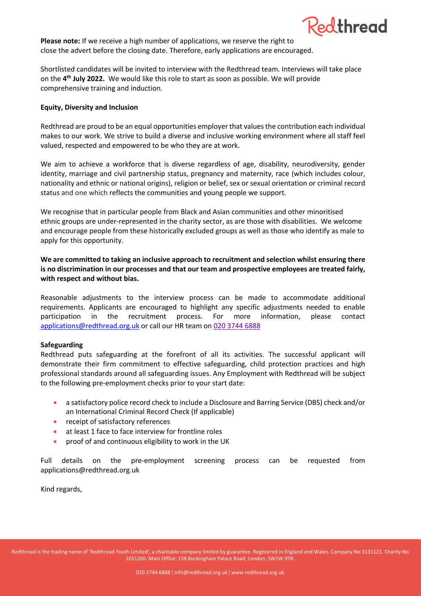

**Please note:** If we receive a high number of applications, we reserve the right to close the advert before the closing date. Therefore, early applications are encouraged.

Shortlisted candidates will be invited to interview with the Redthread team. Interviews will take place on the **4th July 2022.** We would like this role to start as soon as possible. We will provide comprehensive training and induction.

### **Equity, Diversity and Inclusion**

Redthread are proud to be an equal opportunities employer that values the contribution each individual makes to our work. We strive to build a diverse and inclusive working environment where all staff feel valued, respected and empowered to be who they are at work.

We aim to achieve a workforce that is diverse regardless of age, disability, neurodiversity, gender identity, marriage and civil partnership status, pregnancy and maternity, race (which includes colour, nationality and ethnic or national origins), religion or belief, sex or sexual orientation or criminal record status and one which reflects the communities and young people we support.

We recognise that in particular people from Black and Asian communities and other minoritised ethnic groups are under-represented in the charity sector, as are those with disabilities. We welcome and encourage people from these historically excluded groups as well as those who identify as male to apply for this opportunity.

**We are committed to taking an inclusive approach to recruitment and selection whilst ensuring there is no discrimination in our processes and that our team and prospective employees are treated fairly, with respect and without bias.** 

Reasonable adjustments to the interview process can be made to accommodate additional requirements. Applicants are encouraged to highlight any specific adjustments needed to enable participation in the recruitment process. For more information, please contact applications@redthread.org.uk or call our HR team on 020 3744 6888

#### **Safeguarding**

Redthread puts safeguarding at the forefront of all its activities. The successful applicant will demonstrate their firm commitment to effective safeguarding, child protection practices and high professional standards around all safeguarding issues. Any Employment with Redthread will be subject to the following pre-employment checks prior to your start date:

- a satisfactory police record check to include a Disclosure and Barring Service (DBS) check and/or an International Criminal Record Check (If applicable)
- receipt of satisfactory references
- at least 1 face to face interview for frontline roles
- proof of and continuous eligibility to work in the UK

Full details on the pre-employment screening process can be requested from applications@redthread.org.uk

Kind regards,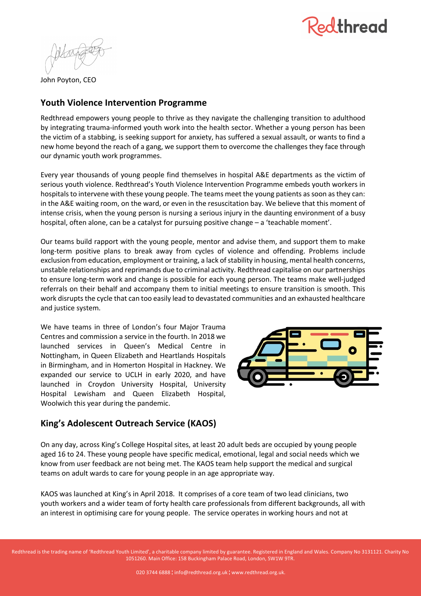

John Poyton, CEO

## **Youth Violence Intervention Programme**

Redthread empowers young people to thrive as they navigate the challenging transition to adulthood by integrating trauma-informed youth work into the health sector. Whether a young person has been the victim of a stabbing, is seeking support for anxiety, has suffered a sexual assault, or wants to find a new home beyond the reach of a gang, we support them to overcome the challenges they face through our dynamic youth work programmes.

Every year thousands of young people find themselves in hospital A&E departments as the victim of serious youth violence. Redthread's Youth Violence Intervention Programme embeds youth workers in hospitals to intervene with these young people. The teams meet the young patients as soon as they can: in the A&E waiting room, on the ward, or even in the resuscitation bay. We believe that this moment of intense crisis, when the young person is nursing a serious injury in the daunting environment of a busy hospital, often alone, can be a catalyst for pursuing positive change – a 'teachable moment'.

Our teams build rapport with the young people, mentor and advise them, and support them to make long-term positive plans to break away from cycles of violence and offending. Problems include exclusion from education, employment or training, a lack of stability in housing, mental health concerns, unstable relationships and reprimands due to criminal activity. Redthread capitalise on our partnerships to ensure long-term work and change is possible for each young person. The teams make well-judged referrals on their behalf and accompany them to initial meetings to ensure transition is smooth. This work disrupts the cycle that can too easily lead to devastated communities and an exhausted healthcare and justice system.

We have teams in three of London's four Major Trauma Centres and commission a service in the fourth. In 2018 we launched services in Queen's Medical Centre in Nottingham, in Queen Elizabeth and Heartlands Hospitals in Birmingham, and in Homerton Hospital in Hackney. We expanded our service to UCLH in early 2020, and have launched in Croydon University Hospital, University Hospital Lewisham and Queen Elizabeth Hospital, Woolwich this year during the pandemic.



## **King's Adolescent Outreach Service (KAOS)**

On any day, across King's College Hospital sites, at least 20 adult beds are occupied by young people aged 16 to 24. These young people have specific medical, emotional, legal and social needs which we know from user feedback are not being met. The KAOS team help support the medical and surgical teams on adult wards to care for young people in an age appropriate way.

KAOS was launched at King's in April 2018. It comprises of a core team of two lead clinicians, two youth workers and a wider team of forty health care professionals from different backgrounds, all with an interest in optimising care for young people. The service operates in working hours and not at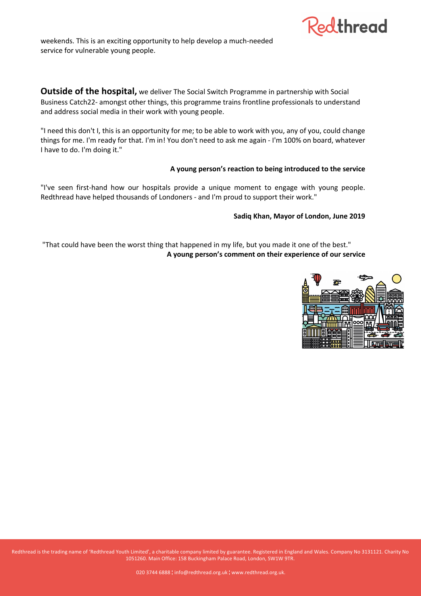

weekends. This is an exciting opportunity to help develop a much-needed service for vulnerable young people.

**Outside of the hospital,** we deliver The Social Switch Programme in partnership with Social Business Catch22- amongst other things, this programme trains frontline professionals to understand and address social media in their work with young people.

"I need this don't I, this is an opportunity for me; to be able to work with you, any of you, could change things for me. I'm ready for that. I'm in! You don't need to ask me again - I'm 100% on board, whatever I have to do. I'm doing it."

## **A young person's reaction to being introduced to the service**

"I've seen first-hand how our hospitals provide a unique moment to engage with young people. Redthread have helped thousands of Londoners - and I'm proud to support their work."

## **Sadiq Khan, Mayor of London, June 2019**

"That could have been the worst thing that happened in my life, but you made it one of the best." **A young person's comment on their experience of our service**

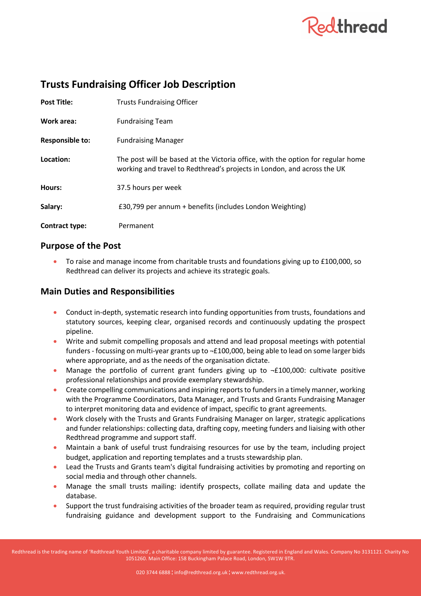

# **Trusts Fundraising Officer Job Description**

| <b>Post Title:</b>     | <b>Trusts Fundraising Officer</b>                                                                                                                          |
|------------------------|------------------------------------------------------------------------------------------------------------------------------------------------------------|
| Work area:             | <b>Fundraising Team</b>                                                                                                                                    |
| <b>Responsible to:</b> | <b>Fundraising Manager</b>                                                                                                                                 |
| Location:              | The post will be based at the Victoria office, with the option for regular home<br>working and travel to Redthread's projects in London, and across the UK |
| Hours:                 | 37.5 hours per week                                                                                                                                        |
| Salary:                | £30,799 per annum + benefits (includes London Weighting)                                                                                                   |
| Contract type:         | Permanent                                                                                                                                                  |

## **Purpose of the Post**

• To raise and manage income from charitable trusts and foundations giving up to £100,000, so Redthread can deliver its projects and achieve its strategic goals.

## **Main Duties and Responsibilities**

- Conduct in-depth, systematic research into funding opportunities from trusts, foundations and statutory sources, keeping clear, organised records and continuously updating the prospect pipeline.
- Write and submit compelling proposals and attend and lead proposal meetings with potential funders - focussing on multi-year grants up to  $-f100,000$ , being able to lead on some larger bids where appropriate, and as the needs of the organisation dictate.
- Manage the portfolio of current grant funders giving up to  $-f100,000$ : cultivate positive professional relationships and provide exemplary stewardship.
- Create compelling communications and inspiring reports to funders in a timely manner, working with the Programme Coordinators, Data Manager, and Trusts and Grants Fundraising Manager to interpret monitoring data and evidence of impact, specific to grant agreements.
- Work closely with the Trusts and Grants Fundraising Manager on larger, strategic applications and funder relationships: collecting data, drafting copy, meeting funders and liaising with other Redthread programme and support staff.
- Maintain a bank of useful trust fundraising resources for use by the team, including project budget, application and reporting templates and a trusts stewardship plan.
- Lead the Trusts and Grants team's digital fundraising activities by promoting and reporting on social media and through other channels.
- Manage the small trusts mailing: identify prospects, collate mailing data and update the database.
- Support the trust fundraising activities of the broader team as required, providing regular trust fundraising guidance and development support to the Fundraising and Communications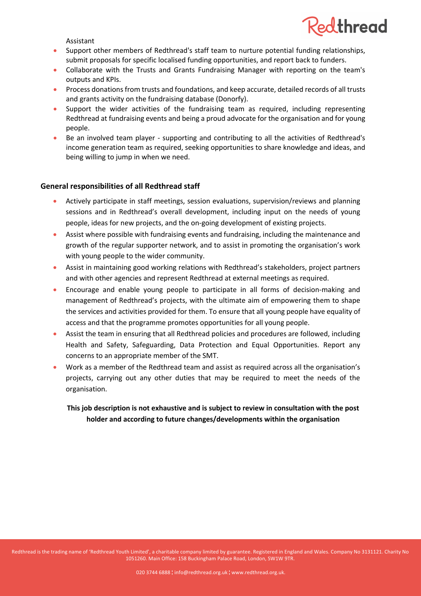

Assistant

- Support other members of Redthread's staff team to nurture potential funding relationships, submit proposals for specific localised funding opportunities, and report back to funders.
- Collaborate with the Trusts and Grants Fundraising Manager with reporting on the team's outputs and KPIs.
- Process donations from trusts and foundations, and keep accurate, detailed records of all trusts and grants activity on the fundraising database (Donorfy).
- Support the wider activities of the fundraising team as required, including representing Redthread at fundraising events and being a proud advocate for the organisation and for young people.
- Be an involved team player supporting and contributing to all the activities of Redthread's income generation team as required, seeking opportunities to share knowledge and ideas, and being willing to jump in when we need.

## **General responsibilities of all Redthread staff**

- Actively participate in staff meetings, session evaluations, supervision/reviews and planning sessions and in Redthread's overall development, including input on the needs of young people, ideas for new projects, and the on-going development of existing projects.
- Assist where possible with fundraising events and fundraising, including the maintenance and growth of the regular supporter network, and to assist in promoting the organisation's work with young people to the wider community.
- Assist in maintaining good working relations with Redthread's stakeholders, project partners and with other agencies and represent Redthread at external meetings as required.
- Encourage and enable young people to participate in all forms of decision-making and management of Redthread's projects, with the ultimate aim of empowering them to shape the services and activities provided for them. To ensure that all young people have equality of access and that the programme promotes opportunities for all young people.
- Assist the team in ensuring that all Redthread policies and procedures are followed, including Health and Safety, Safeguarding, Data Protection and Equal Opportunities. Report any concerns to an appropriate member of the SMT.
- Work as a member of the Redthread team and assist as required across all the organisation's projects, carrying out any other duties that may be required to meet the needs of the organisation.

## **This job description is not exhaustive and is subject to review in consultation with the post holder and according to future changes/developments within the organisation**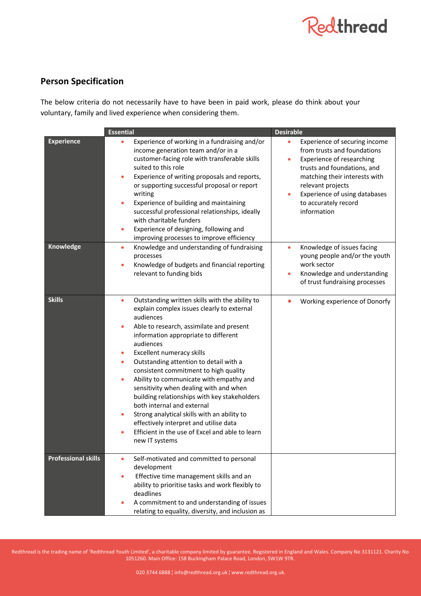

## **Person Specification**

The below criteria do not necessarily have to have been in paid work, please do think about your voluntary, family and lived experience when considering them.

|                            | <b>Essential</b>                                                                                                                                                                                                                                                                                                                                                                                                                                                                                                                                                                                                                                                                                                                          | <b>Desirable</b>                                                                                                                                                                                                                                                         |
|----------------------------|-------------------------------------------------------------------------------------------------------------------------------------------------------------------------------------------------------------------------------------------------------------------------------------------------------------------------------------------------------------------------------------------------------------------------------------------------------------------------------------------------------------------------------------------------------------------------------------------------------------------------------------------------------------------------------------------------------------------------------------------|--------------------------------------------------------------------------------------------------------------------------------------------------------------------------------------------------------------------------------------------------------------------------|
| <b>Experience</b>          | Experience of working in a fundraising and/or<br>income generation team and/or in a<br>customer-facing role with transferable skills<br>suited to this role<br>Experience of writing proposals and reports,<br>or supporting successful proposal or report<br>writing<br>Experience of building and maintaining<br>successful professional relationships, ideally<br>with charitable funders<br>Experience of designing, following and<br>$\bullet$<br>improving processes to improve efficiency                                                                                                                                                                                                                                          | Experience of securing income<br>۰<br>from trusts and foundations<br>Experience of researching<br>$\bullet$<br>trusts and foundations, and<br>matching their interests with<br>relevant projects<br>Experience of using databases<br>to accurately record<br>information |
| Knowledge                  | Knowledge and understanding of fundraising<br>$\bullet$<br>processes<br>Knowledge of budgets and financial reporting<br>$\bullet$<br>relevant to funding bids                                                                                                                                                                                                                                                                                                                                                                                                                                                                                                                                                                             | Knowledge of issues facing<br>۰<br>young people and/or the youth<br>work sector<br>Knowledge and understanding<br>۰<br>of trust fundraising processes                                                                                                                    |
| <b>Skills</b>              | Outstanding written skills with the ability to<br>$\bullet$<br>explain complex issues clearly to external<br>audiences<br>Able to research, assimilate and present<br>$\bullet$<br>information appropriate to different<br>audiences<br>Excellent numeracy skills<br>$\bullet$<br>Outstanding attention to detail with a<br>$\bullet$<br>consistent commitment to high quality<br>Ability to communicate with empathy and<br>$\bullet$<br>sensitivity when dealing with and when<br>building relationships with key stakeholders<br>both internal and external<br>Strong analytical skills with an ability to<br>$\bullet$<br>effectively interpret and utilise data<br>Efficient in the use of Excel and able to learn<br>new IT systems | Working experience of Donorfy<br>$\bullet$                                                                                                                                                                                                                               |
| <b>Professional skills</b> | Self-motivated and committed to personal<br>development<br>Effective time management skills and an<br>$\bullet$<br>ability to prioritise tasks and work flexibly to<br>deadlines<br>A commitment to and understanding of issues<br>relating to equality, diversity, and inclusion as                                                                                                                                                                                                                                                                                                                                                                                                                                                      |                                                                                                                                                                                                                                                                          |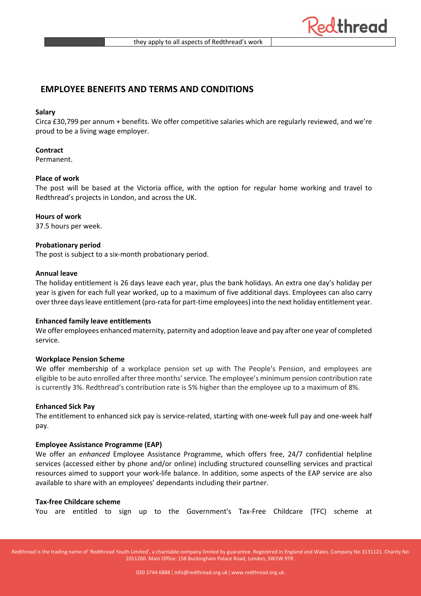

## **EMPLOYEE BENEFITS AND TERMS AND CONDITIONS**

#### **Salary**

Circa £30,799 per annum + benefits. We offer competitive salaries which are regularly reviewed, and we're proud to be a living wage employer.

#### **Contract**

Permanent.

#### **Place of work**

The post will be based at the Victoria office, with the option for regular home working and travel to Redthread's projects in London, and across the UK.

## **Hours of work**

37.5 hours per week.

#### **Probationary period**

The post is subject to a six-month probationary period.

#### **Annual leave**

The holiday entitlement is 26 days leave each year, plus the bank holidays. An extra one day's holiday per year is given for each full year worked, up to a maximum of five additional days. Employees can also carry over three days leave entitlement (pro-rata for part-time employees) into the next holiday entitlement year.

#### **Enhanced family leave entitlements**

We offer employees enhanced maternity, paternity and adoption leave and pay after one year of completed service.

#### **Workplace Pension Scheme**

We offer membership of a workplace pension set up with The People's Pension, and employees are eligible to be auto enrolled after three months'service. The employee's minimum pension contribution rate is currently 3%. Redthread's contribution rate is 5% higher than the employee up to a maximum of 8%.

#### **Enhanced Sick Pay**

The entitlement to enhanced sick pay is service-related, starting with one-week full pay and one-week half pay.

#### **Employee Assistance Programme (EAP)**

We offer an *enhanced* Employee Assistance Programme, which offers free, 24/7 confidential helpline services (accessed either by phone and/or online) including structured counselling services and practical resources aimed to support your work-life balance. In addition, some aspects of the EAP service are also available to share with an employees' dependants including their partner.

#### **Tax-free Childcare scheme**

You are entitled to sign up to the Government's Tax-Free Childcare (TFC) scheme at